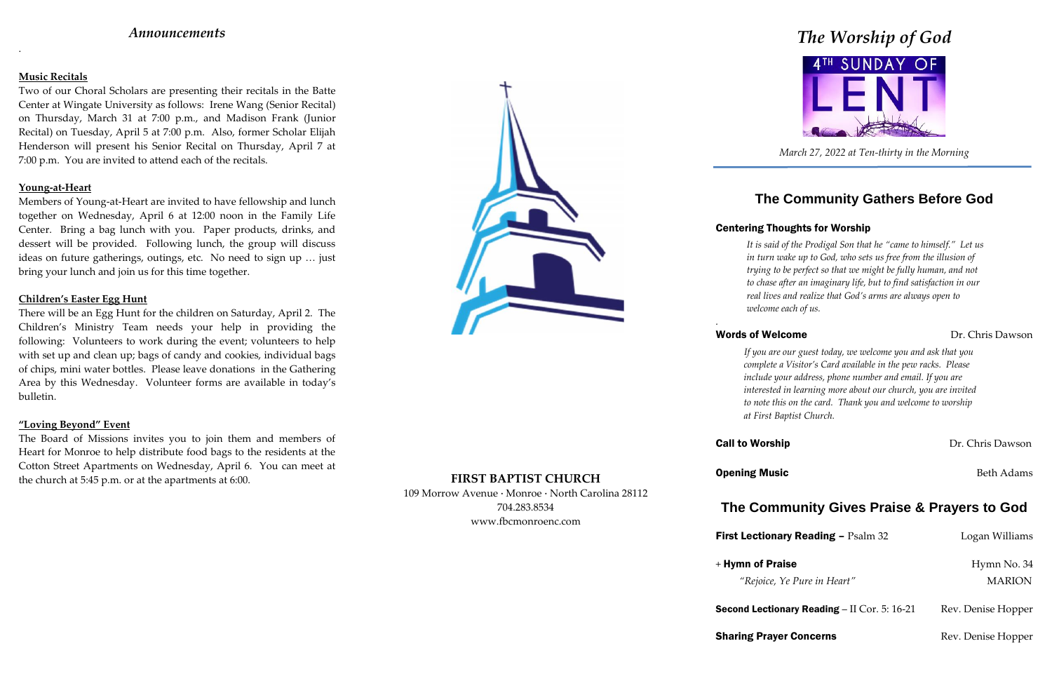# *Announcements*

.

## **Music Recitals**

Two of our Choral Scholars are presenting their recitals in the Batte Center at Wingate University as follows: Irene Wang (Senior Recital) on Thursday, March 31 at 7:00 p.m., and Madison Frank (Junior Recital) on Tuesday, April 5 at 7:00 p.m. Also, former Scholar Elijah Henderson will present his Senior Recital on Thursday, April 7 at 7:00 p.m. You are invited to attend each of the recitals.

### **Young-at-Heart**

Members of Young-at-Heart are invited to have fellowship and lunch together on Wednesday, April 6 at 12:00 noon in the Family Life Center. Bring a bag lunch with you. Paper products, drinks, and dessert will be provided. Following lunch, the group will discuss ideas on future gatherings, outings, etc. No need to sign up … just bring your lunch and join us for this time together.

*The Worship of God* 4TH SUNDAY OF

## **Children's Easter Egg Hunt**

There will be an Egg Hunt for the children on Saturday, April 2. The Children's Ministry Team needs your help in providing the following: Volunteers to work during the event; volunteers to help with set up and clean up; bags of candy and cookies, individual bags of chips, mini water bottles. Please leave donations in the Gathering Area by this Wednesday. Volunteer forms are available in today's bulletin.

## **"Loving Beyond" Event**

**First Lectionary Reading – Psalm 32 Logan Williams** + Hymn of Praise Hymn No. 34 *"Rejoice, Ye Pure in Heart"* MARION

**Second Lectionary Reading – II Cor. 5: 16-21** Rev. Denise Hopper

**Sharing Prayer Concerns** Rev. Denise Hopper

The Board of Missions invites you to join them and members of Heart for Monroe to help distribute food bags to the residents at the Cotton Street Apartments on Wednesday, April 6. You can meet at the church at 5:45 p.m. or at the apartments at 6:00. **FIRST BAPTIST CHURCH**



109 Morrow Avenue · Monroe · North Carolina 28112 704.283.8534 www.fbcmonroenc.com

*March 27, 2022 at Ten-thirty in the Morning*

# **The Community Gathers Before God**

# Centering Thoughts for Worship

# Words of Welcome Dr. Chris Dawson

*It is said of the Prodigal Son that he "came to himself." Let us in turn wake up to God, who sets us free from the illusion of trying to be perfect so that we might be fully human, and not to chase after an imaginary life, but to find satisfaction in our real lives and realize that God's arms are always open to welcome each of us.*

**Call to Worship Dr. Chris Dawson** 

**Opening Music** Beth Adams

*.*

*If you are our guest today, we welcome you and ask that you complete a Visitor's Card available in the pew racks. Please include your address, phone number and email. If you are interested in learning more about our church, you are invited to note this on the card. Thank you and welcome to worship at First Baptist Church.*

# **The Community Gives Praise & Prayers to God**